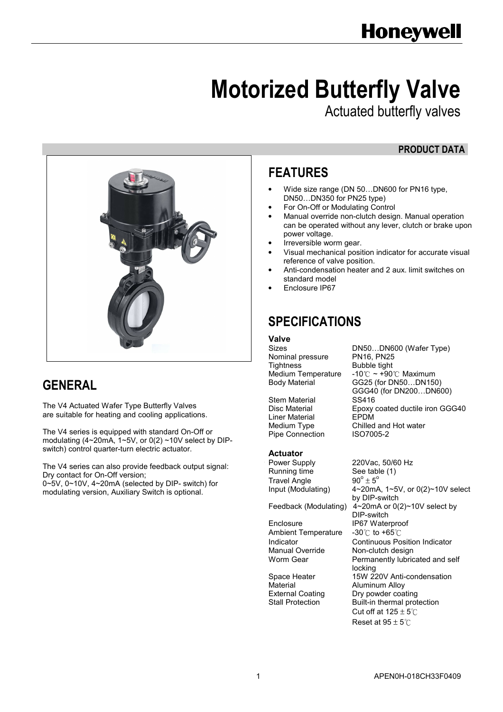# Motorized Butterfly Valve

Actuated butterfly valves

# PRODUCT DATA



# **GENERAL**

The V4 Actuated Wafer Type Butterfly Valves are suitable for heating and cooling applications.

The V4 series is equipped with standard On-Off or modulating (4~20mA, 1~5V, or 0(2) ~10V select by DIPswitch) control quarter-turn electric actuator.

The V4 series can also provide feedback output signal: Dry contact for On-Off version; 0~5V, 0~10V, 4~20mA (selected by DIP- switch) for

modulating version, Auxiliary Switch is optional.

# FEATURES

- Wide size range (DN 50…DN600 for PN16 type, DN50…DN350 for PN25 type)
- For On-Off or Modulating Control
- Manual override non-clutch design. Manual operation can be operated without any lever, clutch or brake upon power voltage.
- Irreversible worm gear.
- Visual mechanical position indicator for accurate visual reference of valve position.
- Anti-condensation heater and 2 aux. limit switches on standard model
- Enclosure IP67

# SPECIFICATIONS

# **Valve**<br>Sizes

Nominal pressure<br>Tightness Tightness Bubble tight<br>Medium Temperature -10  $\degree$  ~ +90

Stem Material SS416 Liner Material EPDM<br>Medium Type Chilled Pipe Connection

DN50...DN600 (Wafer Type)<br>PN16. PN25 Medium Temperature -10℃ ~ +90℃ Maximum<br>Body Material GG25 (for DN50...DN150 GG25 (for DN50...DN150) GGG40 (for DN200…DN600) Disc Material Epoxy coated ductile iron GGG40 Chilled and Hot water<br>ISO7005-2

## Actuator

Travel Angle  $90^\circ \pm 5^\circ$ Running time See table (1)

Enclosure IP67 Waterproof<br>Ambient Temperature -30 C to +65 C Ambient Temperature

Power Supply 220Vac, 50/60 Hz  $90^\circ \pm 5^\circ$ Input (Modulating) 4~20mA, 1~5V, or 0(2)~10V select by DIP-switch Feedback (Modulating) 4~20mA or 0(2)~10V select by DIP-switch Indicator Continuous Position Indicator Non-clutch design Worm Gear **Permanently lubricated and self**  locking Space Heater 15W 220V Anti-condensation<br>
Material Callminum Alloy **Aluminum Alloy** External Coating Dry powder coating Stall Protection Built-in thermal protection Cut off at  $125 \pm 5^\circ \text{C}$ Reset at  $95 \pm 5^{\circ}$ C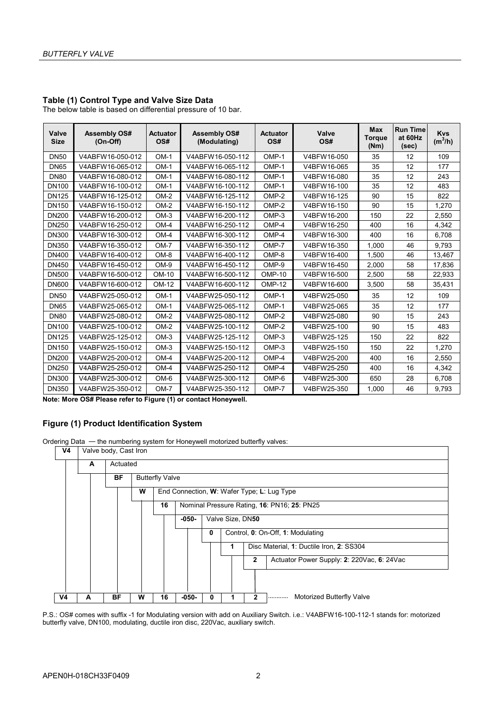#### Table (1) Control Type and Valve Size Data

The below table is based on differential pressure of 10 bar.

| Valve<br><b>Size</b> | <b>Assembly OS#</b><br>$(On-Off)$ | <b>Actuator</b><br>OS# | <b>Assembly OS#</b><br>(Modulating) | <b>Actuator</b><br>OS# | Valve<br>OS# | Max<br><b>Torque</b><br>(Nm) | <b>Run Time</b><br>at 60Hz<br>(sec) | <b>Kvs</b><br>$(m^3/h)$ |
|----------------------|-----------------------------------|------------------------|-------------------------------------|------------------------|--------------|------------------------------|-------------------------------------|-------------------------|
| <b>DN50</b>          | V4ABFW16-050-012                  | $OM-1$                 | V4ABFW16-050-112                    | OMP-1                  | V4BFW16-050  | 35                           | 12                                  | 109                     |
| <b>DN65</b>          | V4ABFW16-065-012                  | $OM-1$                 | V4ABFW16-065-112                    | OMP-1                  | V4BFW16-065  | 35                           | 12                                  | 177                     |
| <b>DN80</b>          | V4ABFW16-080-012                  | $OM-1$                 | V4ABFW16-080-112                    | OMP-1                  | V4BFW16-080  | 35                           | 12                                  | 243                     |
| <b>DN100</b>         | V4ABFW16-100-012                  | $OM-1$                 | V4ABFW16-100-112                    | OMP-1                  | V4BFW16-100  | 35                           | 12                                  | 483                     |
| <b>DN125</b>         | V4ABFW16-125-012                  | $OM-2$                 | V4ABFW16-125-112                    | OMP-2                  | V4BFW16-125  | 90                           | 15                                  | 822                     |
| DN150                | V4ABFW16-150-012                  | $OM-2$                 | V4ABFW16-150-112                    | OMP-2                  | V4BFW16-150  | 90                           | 15                                  | 1.270                   |
| <b>DN200</b>         | V4ABFW16-200-012                  | $OM-3$                 | V4ABFW16-200-112                    | OMP-3                  | V4BFW16-200  | 150                          | 22                                  | 2,550                   |
| <b>DN250</b>         | V4ABFW16-250-012                  | $OM-4$                 | V4ABFW16-250-112                    | OMP-4                  | V4BFW16-250  | 400                          | 16                                  | 4,342                   |
| <b>DN300</b>         | V4ABFW16-300-012                  | $OM-4$                 | V4ABFW16-300-112                    | OMP-4                  | V4BFW16-300  | 400                          | 16                                  | 6.708                   |
| <b>DN350</b>         | V4ABFW16-350-012                  | $OM-7$                 | V4ABFW16-350-112                    | OMP-7                  | V4BFW16-350  | 1.000                        | 46                                  | 9,793                   |
| <b>DN400</b>         | V4ABFW16-400-012                  | $OM-8$                 | V4ABFW16-400-112                    | OMP-8                  | V4BFW16-400  | 1.500                        | 46                                  | 13,467                  |
| DN450                | V4ABFW16-450-012                  | $OM-9$                 | V4ABFW16-450-112                    | OMP-9                  | V4BFW16-450  | 2,000                        | 58                                  | 17,836                  |
| <b>DN500</b>         | V4ABFW16-500-012                  | OM-10                  | V4ABFW16-500-112                    | <b>OMP-10</b>          | V4BFW16-500  | 2,500                        | 58                                  | 22,933                  |
| <b>DN600</b>         | V4ABFW16-600-012                  | OM-12                  | V4ABFW16-600-112                    | $OMP-12$               | V4BFW16-600  | 3,500                        | 58                                  | 35,431                  |
| <b>DN50</b>          | V4ABFW25-050-012                  | $OM-1$                 | V4ABFW25-050-112                    | OMP-1                  | V4BFW25-050  | 35                           | 12                                  | 109                     |
| <b>DN65</b>          | V4ABFW25-065-012                  | $OM-1$                 | V4ABFW25-065-112                    | OMP-1                  | V4BFW25-065  | 35                           | 12                                  | 177                     |
| <b>DN80</b>          | V4ABFW25-080-012                  | $OM-2$                 | V4ABFW25-080-112                    | OMP-2                  | V4BFW25-080  | 90                           | 15                                  | 243                     |
| <b>DN100</b>         | V4ABFW25-100-012                  | $OM-2$                 | V4ABFW25-100-112                    | OMP-2                  | V4BFW25-100  | 90                           | 15                                  | 483                     |
| <b>DN125</b>         | V4ABFW25-125-012                  | $OM-3$                 | V4ABFW25-125-112                    | OMP-3                  | V4BFW25-125  | 150                          | 22                                  | 822                     |
| DN150                | V4ABFW25-150-012                  | $OM-3$                 | V4ABFW25-150-112                    | OMP-3                  | V4BFW25-150  | 150                          | 22                                  | 1,270                   |
| <b>DN200</b>         | V4ABFW25-200-012                  | $OM-4$                 | V4ABFW25-200-112                    | OMP-4                  | V4BFW25-200  | 400                          | 16                                  | 2,550                   |
| <b>DN250</b>         | V4ABFW25-250-012                  | $OM-4$                 | V4ABFW25-250-112                    | OMP-4                  | V4BFW25-250  | 400                          | 16                                  | 4,342                   |
| <b>DN300</b>         | V4ABFW25-300-012                  | OM-6                   | V4ABFW25-300-112                    | OMP-6                  | V4BFW25-300  | 650                          | 28                                  | 6.708                   |
| <b>DN350</b>         | V4ABFW25-350-012                  | $OM-7$                 | V4ABFW25-350-112                    | OMP-7                  | V4BFW25-350  | 1.000                        | 46                                  | 9.793                   |

Note: More OS# Please refer to Figure (1) or contact Honeywell.

#### Figure (1) Product Identification System

Ordering Data — the numbering system for Honeywell motorized butterfly valves:



P.S.: OS# comes with suffix -1 for Modulating version with add on Auxiliary Switch. i.e.: V4ABFW16-100-112-1 stands for: motorized butterfly valve, DN100, modulating, ductile iron disc, 220Vac, auxiliary switch.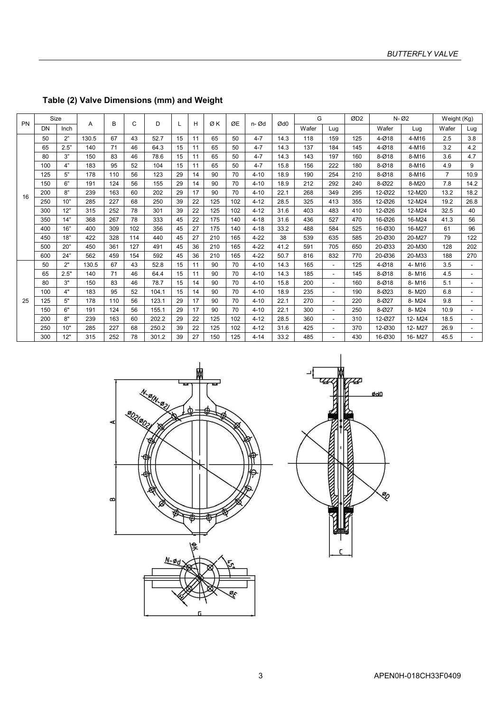| PN | Size |      | A     | B   | C   | D     |    | н  | ØK  | ØE  | n-Ød     | Ød0  |       | G<br>ØD <sub>2</sub> |     | N-02      |        | Weight (Kg)    |      |
|----|------|------|-------|-----|-----|-------|----|----|-----|-----|----------|------|-------|----------------------|-----|-----------|--------|----------------|------|
|    | DN   | Inch |       |     |     |       |    |    |     |     |          |      | Wafer | Lug                  |     | Wafer     | Lug    | Wafer          | Lug  |
|    | 50   | 2"   | 130.5 | 67  | 43  | 52.7  | 15 | 11 | 65  | 50  | $4 - 7$  | 14.3 | 118   | 159                  | 125 | $4 - 018$ | 4-M16  | 2.5            | 3.8  |
|    | 65   | 2.5" | 140   | 71  | 46  | 64.3  | 15 | 11 | 65  | 50  | $4 - 7$  | 14.3 | 137   | 184                  | 145 | 4-Ø18     | 4-M16  | 3.2            | 4.2  |
|    | 80   | 3"   | 150   | 83  | 46  | 78.6  | 15 | 11 | 65  | 50  | $4 - 7$  | 14.3 | 143   | 197                  | 160 | $8 - Ø18$ | 8-M16  | 3.6            | 4.7  |
|    | 100  | 4"   | 183   | 95  | 52  | 104   | 15 | 11 | 65  | 50  | $4 - 7$  | 15.8 | 156   | 222                  | 180 | $8 - Ø18$ | 8-M16  | 4.9            | 9    |
|    | 125  | 5"   | 178   | 110 | 56  | 123   | 29 | 14 | 90  | 70  | $4 - 10$ | 18.9 | 190   | 254                  | 210 | $8 - Ø18$ | 8-M16  | $\overline{7}$ | 10.9 |
|    | 150  | 6"   | 191   | 124 | 56  | 155   | 29 | 14 | 90  | 70  | $4 - 10$ | 18.9 | 212   | 292                  | 240 | 8-022     | 8-M20  | 7.8            | 14.2 |
| 16 | 200  | 8"   | 239   | 163 | 60  | 202   | 29 | 17 | 90  | 70  | $4 - 10$ | 22.1 | 268   | 349                  | 295 | 12-022    | 12-M20 | 13.2           | 18.2 |
|    | 250  | 10"  | 285   | 227 | 68  | 250   | 39 | 22 | 125 | 102 | $4 - 12$ | 28.5 | 325   | 413                  | 355 | 12-026    | 12-M24 | 19.2           | 26.8 |
|    | 300  | 12"  | 315   | 252 | 78  | 301   | 39 | 22 | 125 | 102 | $4 - 12$ | 31.6 | 403   | 483                  | 410 | 12-026    | 12-M24 | 32.5           | 40   |
|    | 350  | 14"  | 368   | 267 | 78  | 333   | 45 | 22 | 175 | 140 | $4 - 18$ | 31.6 | 436   | 527                  | 470 | 16-026    | 16-M24 | 41.3           | 56   |
|    | 400  | 16"  | 400   | 309 | 102 | 356   | 45 | 27 | 175 | 140 | $4 - 18$ | 33.2 | 488   | 584                  | 525 | 16-030    | 16-M27 | 61             | 96   |
|    | 450  | 18"  | 422   | 328 | 114 | 440   | 45 | 27 | 210 | 165 | $4 - 22$ | 38   | 539   | 635                  | 585 | 20-030    | 20-M27 | 79             | 122  |
|    | 500  | 20"  | 450   | 361 | 127 | 491   | 45 | 36 | 210 | 165 | $4 - 22$ | 41.2 | 591   | 705                  | 650 | 20-Ø33    | 20-M30 | 128            | 202  |
|    | 600  | 24"  | 562   | 459 | 154 | 592   | 45 | 36 | 210 | 165 | $4 - 22$ | 50.7 | 816   | 832                  | 770 | 20-036    | 20-M33 | 188            | 270  |
|    | 50   | 2"   | 130.5 | 67  | 43  | 52.8  | 15 | 11 | 90  | 70  | $4 - 10$ | 14.3 | 165   |                      | 125 | $4 - Ø18$ | 4-M16  | 3.5            |      |
|    | 65   | 2.5" | 140   | 71  | 46  | 64.4  | 15 | 11 | 90  | 70  | $4 - 10$ | 14.3 | 185   |                      | 145 | $8 - Ø18$ | 8-M16  | 4.5            | ۰.   |
|    | 80   | 3"   | 150   | 83  | 46  | 78.7  | 15 | 14 | 90  | 70  | $4 - 10$ | 15.8 | 200   |                      | 160 | $8 - Ø18$ | 8-M16  | 5.1            |      |
|    | 100  | 4"   | 183   | 95  | 52  | 104.1 | 15 | 14 | 90  | 70  | $4 - 10$ | 18.9 | 235   |                      | 190 | 8-023     | 8-M20  | 6.8            |      |
| 25 | 125  | 5"   | 178   | 110 | 56  | 123.1 | 29 | 17 | 90  | 70  | $4 - 10$ | 22.1 | 270   |                      | 220 | 8-027     | 8-M24  | 9.8            |      |
|    | 150  | 6"   | 191   | 124 | 56  | 155.1 | 29 | 17 | 90  | 70  | $4 - 10$ | 22.1 | 300   |                      | 250 | 8-027     | 8-M24  | 10.9           |      |
|    | 200  | 8"   | 239   | 163 | 60  | 202.2 | 29 | 22 | 125 | 102 | $4 - 12$ | 28.5 | 360   |                      | 310 | 12-027    | 12-M24 | 18.5           |      |
|    | 250  | 10"  | 285   | 227 | 68  | 250.2 | 39 | 22 | 125 | 102 | $4 - 12$ | 31.6 | 425   |                      | 370 | 12-Ø30    | 12-M27 | 26.9           |      |
|    | 300  | 12"  | 315   | 252 | 78  | 301.2 | 39 | 27 | 150 | 125 | $4 - 14$ | 33.2 | 485   |                      | 430 | 16-030    | 16-M27 | 45.5           |      |

# Table (2) Valve Dimensions (mm) and Weight



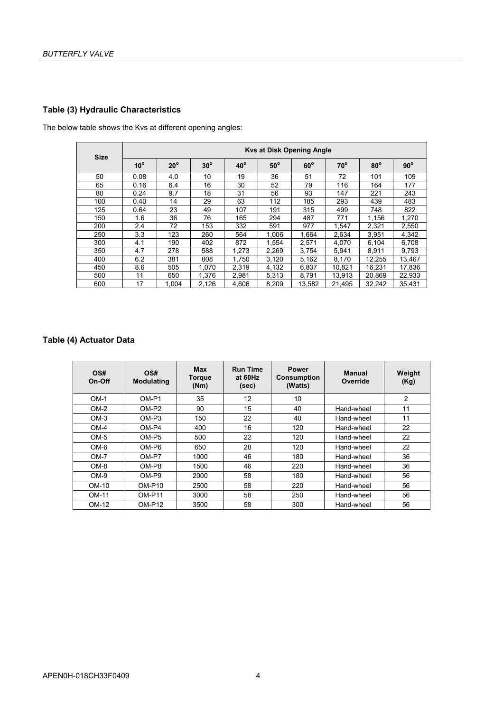#### Table (3) Hydraulic Characteristics

The below table shows the Kvs at different opening angles:

| <b>Size</b> | Kvs at Disk Opening Angle |              |            |            |            |            |              |            |            |  |  |  |  |
|-------------|---------------------------|--------------|------------|------------|------------|------------|--------------|------------|------------|--|--|--|--|
|             | $10^{\circ}$              | $20^{\circ}$ | $30^\circ$ | $40^\circ$ | $50^\circ$ | $60^\circ$ | $70^{\circ}$ | $80^\circ$ | $90^\circ$ |  |  |  |  |
| 50          | 0.08                      | 4.0          | 10         | 19         | 36         | 51         | 72           | 101        | 109        |  |  |  |  |
| 65          | 0.16                      | 6.4          | 16         | 30         | 52         | 79         | 116          | 164        | 177        |  |  |  |  |
| 80          | 0.24                      | 9.7          | 18         | 31         | 56         | 93         | 147          | 221        | 243        |  |  |  |  |
| 100         | 0.40                      | 14           | 29         | 63         | 112        | 185        | 293          | 439        | 483        |  |  |  |  |
| 125         | 0.64                      | 23           | 49         | 107        | 191        | 315        | 499          | 748        | 822        |  |  |  |  |
| 150         | 1.6                       | 36           | 76         | 165        | 294        | 487        | 771          | 1.156      | 1,270      |  |  |  |  |
| 200         | 2.4                       | 72           | 153        | 332        | 591        | 977        | 1.547        | 2,321      | 2,550      |  |  |  |  |
| 250         | 3.3                       | 123          | 260        | 564        | 1.006      | 1.664      | 2,634        | 3,951      | 4,342      |  |  |  |  |
| 300         | 4.1                       | 190          | 402        | 872        | 1,554      | 2,571      | 4,070        | 6,104      | 6,708      |  |  |  |  |
| 350         | 4.7                       | 278          | 588        | 1,273      | 2,269      | 3,754      | 5,941        | 8,911      | 9,793      |  |  |  |  |
| 400         | 6.2                       | 381          | 808        | 1,750      | 3,120      | 5,162      | 8,170        | 12,255     | 13,467     |  |  |  |  |
| 450         | 8.6                       | 505          | 1.070      | 2,319      | 4,132      | 6,837      | 10.821       | 16,231     | 17,836     |  |  |  |  |
| 500         | 11                        | 650          | 1,376      | 2,981      | 5,313      | 8,791      | 13,913       | 20,869     | 22,933     |  |  |  |  |
| 600         | 17                        | 1.004        | 2,126      | 4,606      | 8,209      | 13,582     | 21,495       | 32,242     | 35,431     |  |  |  |  |

## Table (4) Actuator Data

| OS#<br>On-Off | OS#<br><b>Modulating</b> | Max<br><b>Torque</b><br>(Nm) | <b>Run Time</b><br>at 60Hz<br>(sec) | <b>Power</b><br><b>Consumption</b><br>(Watts) | <b>Manual</b><br>Override | Weight<br>(Kg) |
|---------------|--------------------------|------------------------------|-------------------------------------|-----------------------------------------------|---------------------------|----------------|
| $OM-1$        | OM-P1                    | 35                           | 12                                  | 10                                            |                           | $\overline{c}$ |
| $OM-2$        | OM-P2                    | 90                           | 15                                  | 40                                            | Hand-wheel                | 11             |
| $OM-3$        | OM-P3                    | 150                          | 22                                  | 40                                            | Hand-wheel                | 11             |
| $OM-4$        | OM-P4                    | 400                          | 16                                  | 120                                           | Hand-wheel                | 22             |
| $OM-5$        | OM-P5                    | 500                          | 22                                  | 120                                           | Hand-wheel                | 22             |
| OM-6          | OM-P6                    | 650                          | 28                                  | 120                                           | Hand-wheel                | 22             |
| $OM-7$        | OM-P7                    | 1000                         | 46                                  | 180                                           | Hand-wheel                | 36             |
| $OM-8$        | OM-P8                    | 1500                         | 46                                  | 220                                           | Hand-wheel                | 36             |
| $OM-9$        | OM-P9                    | 2000                         | 58                                  | 180                                           | Hand-wheel                | 56             |
| OM-10         | $OM-P10$                 | 2500                         | 58                                  | 220                                           | Hand-wheel                | 56             |
| OM-11         | $OM-P11$                 | 3000                         | 58                                  | 250                                           | Hand-wheel                | 56             |
| OM-12         | $OM-P12$                 | 3500                         | 58                                  | 300                                           | Hand-wheel                | 56             |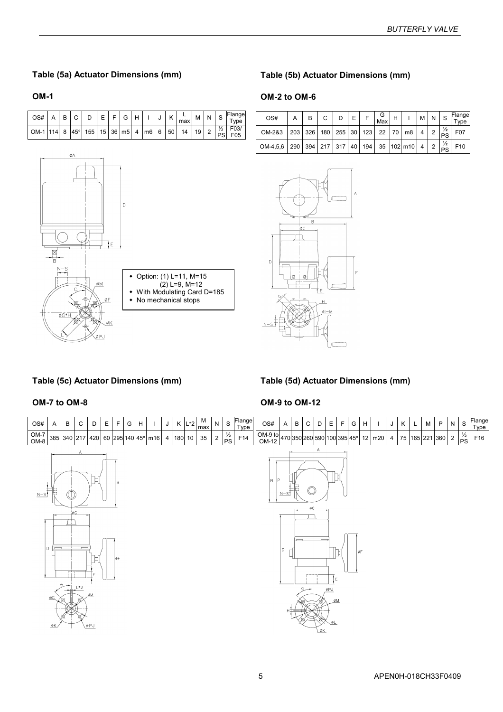### Table (5a) Actuator Dimensions (mm)

#### OM-1



## Table (5b) Actuator Dimensions (mm)

#### OM-2 to OM-6

| OS#      | B | C. | D | E. | G<br>Max | н |                                                              | M N | $\overline{\phantom{a}}$ s | Flange<br>Type |
|----------|---|----|---|----|----------|---|--------------------------------------------------------------|-----|----------------------------|----------------|
| OM-2&3   |   |    |   |    |          |   | 203 326 180 255 30 123 22 70 m8 4 2 $\frac{1}{2}$            |     |                            | F07            |
| OM-4,5,6 |   |    |   |    |          |   | $\sqrt{290}$ 394 217 317 40 194 35 102 m10 4 2 $\frac{1}{2}$ |     |                            | F10            |



## Table (5c) Actuator Dimensions (mm)

#### OM-7 to OM-8

# OM-9 to OM-12

Table (5d) Actuator Dimensions (mm)





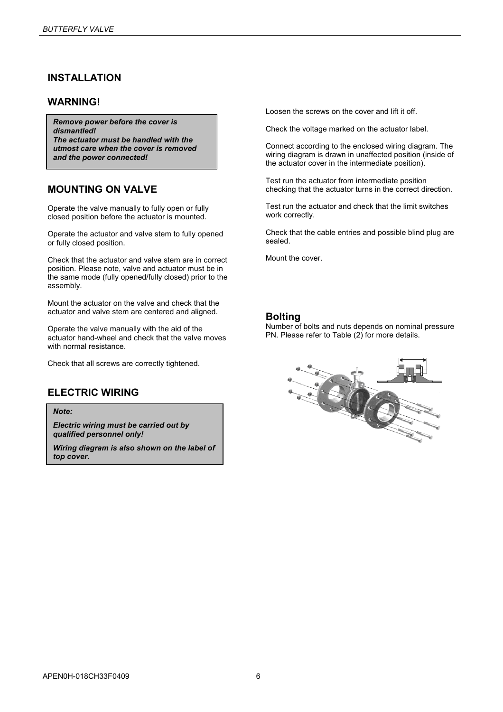## INSTALLATION

### WARNING!

Remove power before the cover is dismantled! The actuator must be handled with the utmost care when the cover is removed and the power connected!

## MOUNTING ON VALVE

Operate the valve manually to fully open or fully closed position before the actuator is mounted.

Operate the actuator and valve stem to fully opened or fully closed position.

Check that the actuator and valve stem are in correct position. Please note, valve and actuator must be in the same mode (fully opened/fully closed) prior to the assembly.

Mount the actuator on the valve and check that the actuator and valve stem are centered and aligned.

Operate the valve manually with the aid of the actuator hand-wheel and check that the valve moves with normal resistance.

Check that all screws are correctly tightened.

# ELECTRIC WIRING

Note:

Electric wiring must be carried out by qualified personnel only!

Wiring diagram is also shown on the label of top cover.

Loosen the screws on the cover and lift it off.

Check the voltage marked on the actuator label.

Connect according to the enclosed wiring diagram. The wiring diagram is drawn in unaffected position (inside of the actuator cover in the intermediate position).

Test run the actuator from intermediate position checking that the actuator turns in the correct direction.

Test run the actuator and check that the limit switches work correctly.

Check that the cable entries and possible blind plug are sealed.

Mount the cover.

#### Bolting

Number of bolts and nuts depends on nominal pressure PN. Please refer to Table (2) for more details.